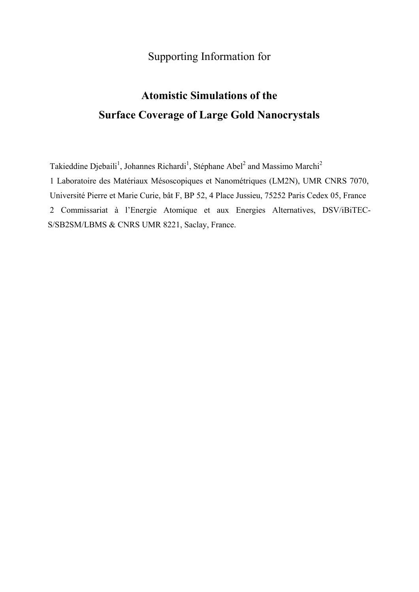## Supporting Information for

## **Atomistic Simulations of the Surface Coverage of Large Gold Nanocrystals**

Takieddine Djebaili<sup>1</sup>, Johannes Richardi<sup>1</sup>, Stéphane Abel<sup>2</sup> and Massimo Marchi<sup>2</sup> 1 Laboratoire des Matériaux Mésoscopiques et Nanométriques (LM2N), UMR CNRS 7070, Université Pierre et Marie Curie, bât F, BP 52, 4 Place Jussieu, 75252 Paris Cedex 05, France 2 Commissariat à l'Energie Atomique et aux Energies Alternatives, DSV/iBiTEC-S/SB2SM/LBMS & CNRS UMR 8221, Saclay, France.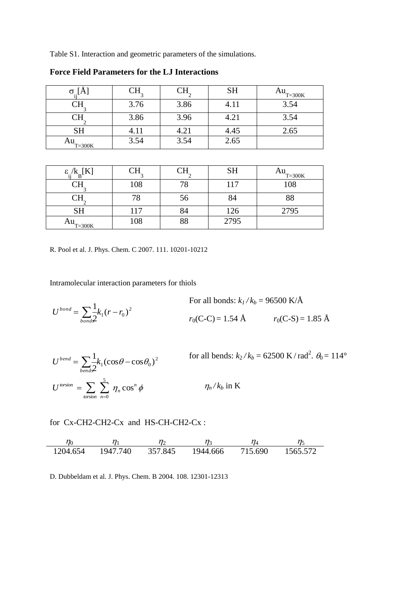Table S1. Interaction and geometric parameters of the simulations.

| $\sigma_{\cdot}$ [A |      |      | <b>SH</b> | $Au$ <sub>T=300K</sub> |
|---------------------|------|------|-----------|------------------------|
|                     | 3.76 | 3.86 | 4.11      | 3.54                   |
|                     | 3.86 | 3.96 | 4.21      | 3.54                   |
| <b>SH</b>           | 4.11 | 4.21 | 4.45      | 2.65                   |
| Au<br>$T = 300K$    | 3.54 | 3.54 | 2.65      |                        |

**Force Field Parameters for the LJ Interactions** 

| $\varepsilon_{\cdot,\cdot}^{}$<br>$B^{\perp}$ | л   |              | <b>SH</b> | Au<br>$T = 300K$ |
|-----------------------------------------------|-----|--------------|-----------|------------------|
| NT 1                                          | 108 |              | 117       | 108              |
|                                               |     | $50^{\circ}$ | 84        | 88               |
| <b>SH</b>                                     | 117 |              | 126       | 2795             |
| Au<br>$T = 300K$                              | 108 |              | 2795      |                  |

R. Pool et al. J. Phys. Chem. C 2007. 111. 10201-10212

Intramolecular interaction parameters for thiols

$$
U^{bond} = \sum_{bond} \frac{1}{2} k_1 (r - r_0)^2
$$
For all bonds:  $k_1 / k_b = 96500 \text{ K/A}$   
 $r_0(C-C) = 1.54 \text{ Å}$   $r_0(C-S) = 1.85 \text{ Å}$ 

$$
U^{bend} = \sum_{bend s} \frac{1}{2} k_1 (\cos \theta - \cos \theta_0)^2
$$
 for all bends:  $k_2 / k_b = 62500 \text{ K} / \text{rad}^2$ .  $\theta_0 = 114^\circ$   

$$
U^{torsion} = \sum_{torsion} \sum_{n=0}^{5} \eta_n \cos^n \phi
$$
  $\eta_n / k_b$  in K

for Cx-CH2-CH2-Cx and HS-CH-CH2-Cx :

 $\eta_0$   $\eta_1$   $\eta_2$   $\eta_3$   $\eta_4$   $\eta_5$ 1204.654 1947.740 357.845 1944.666 715.690 1565.572

D. Dubbeldam et al. J. Phys. Chem. B 2004. 108. 12301-12313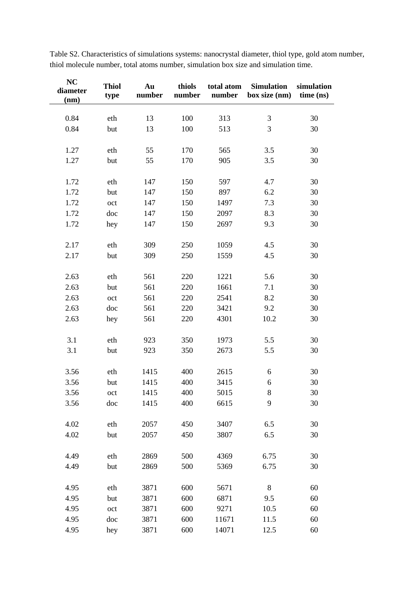| <b>NC</b><br>diameter<br>(nm) | <b>Thiol</b><br>type | Au<br>number | thiols<br>number | total atom<br>number | <b>Simulation</b><br>box size (nm) | simulation<br>time (ns) |
|-------------------------------|----------------------|--------------|------------------|----------------------|------------------------------------|-------------------------|
|                               |                      |              |                  |                      |                                    |                         |
| 0.84                          | eth                  | 13           | 100              | 313                  | $\mathfrak{Z}$                     | 30                      |
| 0.84                          | but                  | 13           | 100              | 513                  | 3                                  | 30                      |
| 1.27                          | eth                  | 55           | 170              | 565                  | 3.5                                | 30                      |
|                               |                      |              |                  |                      |                                    |                         |
| 1.27                          | but                  | 55           | 170              | 905                  | 3.5                                | 30                      |
| 1.72                          | eth                  | 147          | 150              | 597                  | 4.7                                | 30                      |
| 1.72                          | but                  | 147          | 150              | 897                  | 6.2                                | 30                      |
| 1.72                          | oct                  | 147          | 150              | 1497                 | 7.3                                | 30                      |
| 1.72                          | doc                  | 147          | 150              | 2097                 | 8.3                                | 30                      |
| 1.72                          | hey                  | 147          | 150              | 2697                 | 9.3                                | 30                      |
|                               |                      |              |                  |                      |                                    |                         |
| 2.17                          | eth                  | 309          | 250              | 1059                 | 4.5                                | 30                      |
| 2.17                          | but                  | 309          | 250              | 1559                 | 4.5                                | 30                      |
|                               |                      |              |                  |                      |                                    |                         |
| 2.63                          | eth                  | 561          | 220              | 1221                 | 5.6                                | 30                      |
| 2.63                          | but                  | 561          | 220              | 1661                 | 7.1                                | 30                      |
| 2.63                          | oct                  | 561          | 220              | 2541                 | 8.2                                | 30                      |
| 2.63                          | doc                  | 561          | 220              | 3421                 | 9.2                                | 30                      |
| 2.63                          | hey                  | 561          | 220              | 4301                 | 10.2                               | 30                      |
|                               |                      |              |                  |                      |                                    |                         |
| 3.1                           | eth                  | 923          | 350              | 1973                 | 5.5                                | 30                      |
| 3.1                           | but                  | 923          | 350              | 2673                 | 5.5                                | 30                      |
|                               |                      |              |                  |                      |                                    |                         |
| 3.56                          | eth                  | 1415         | 400              | 2615                 | 6                                  | 30                      |
| 3.56                          | but                  | 1415         | 400              | 3415                 | 6                                  | 30                      |
| 3.56                          | oct                  | 1415         | 400              | 5015                 | $8\,$                              | 30                      |
| 3.56                          | doc                  | 1415         | 400              | 6615                 | 9                                  | 30                      |
|                               |                      |              |                  |                      |                                    |                         |
| 4.02                          | eth                  | 2057         | 450              | 3407                 | 6.5                                | 30                      |
| 4.02                          | but                  | 2057         | 450              | 3807                 | 6.5                                | 30                      |
| 4.49                          | eth                  | 2869         | 500              | 4369                 | 6.75                               | 30                      |
|                               |                      |              |                  |                      |                                    |                         |
| 4.49                          | but                  | 2869         | 500              | 5369                 | 6.75                               | 30                      |
| 4.95                          | eth                  | 3871         | 600              | 5671                 | 8                                  | 60                      |
| 4.95                          | but                  | 3871         | 600              | 6871                 | 9.5                                | 60                      |
| 4.95                          | oct                  | 3871         | 600              | 9271                 | 10.5                               | 60                      |
| 4.95                          | doc                  | 3871         | 600              | 11671                | 11.5                               | 60                      |
| 4.95                          | hey                  | 3871         | 600              | 14071                | 12.5                               | 60                      |

Table S2. Characteristics of simulations systems: nanocrystal diameter, thiol type, gold atom number, thiol molecule number, total atoms number, simulation box size and simulation time.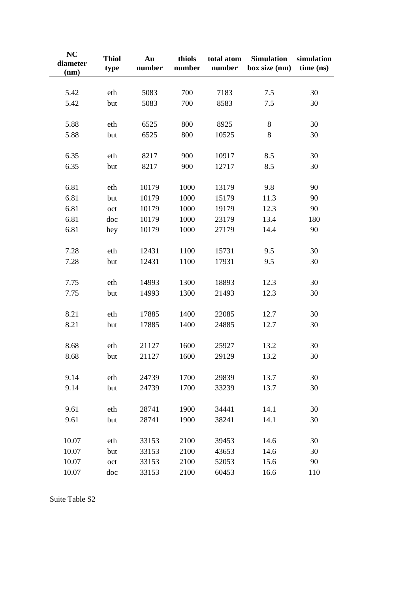| NC<br>diameter<br>(nm) | <b>Thiol</b><br>type | Au<br>number | thiols<br>number | total atom<br>number | <b>Simulation</b><br>box size (nm) | simulation<br>time (ns) |
|------------------------|----------------------|--------------|------------------|----------------------|------------------------------------|-------------------------|
| 5.42                   | eth                  | 5083         | 700              | 7183                 | 7.5                                | 30                      |
| 5.42                   | but                  | 5083         | 700              | 8583                 | 7.5                                | 30                      |
|                        |                      |              |                  |                      |                                    |                         |
| 5.88                   | eth                  | 6525         | 800              | 8925                 | 8                                  | 30                      |
| 5.88                   | but                  | 6525         | 800              | 10525                | 8                                  | 30                      |
| 6.35                   | eth                  | 8217         | 900              | 10917                | 8.5                                | 30                      |
| 6.35                   | but                  | 8217         | 900              | 12717                | 8.5                                | 30                      |
|                        |                      |              |                  |                      |                                    |                         |
| 6.81                   | eth                  | 10179        | 1000             | 13179                | 9.8                                | 90                      |
| 6.81                   | but                  | 10179        | 1000             | 15179                | 11.3                               | 90                      |
| 6.81                   | oct                  | 10179        | 1000             | 19179                | 12.3                               | 90                      |
| 6.81                   | doc                  | 10179        | 1000             | 23179                | 13.4                               | 180                     |
| 6.81                   | hey                  | 10179        | 1000             | 27179                | 14.4                               | 90                      |
| 7.28                   | eth                  | 12431        | 1100             | 15731                | 9.5                                | 30                      |
| 7.28                   | but                  | 12431        | 1100             | 17931                | 9.5                                | 30                      |
|                        |                      |              |                  |                      |                                    |                         |
| 7.75                   | eth                  | 14993        | 1300             | 18893                | 12.3                               | 30                      |
| 7.75                   | but                  | 14993        | 1300             | 21493                | 12.3                               | 30                      |
| 8.21                   | eth                  | 17885        | 1400             | 22085                | 12.7                               | 30                      |
| 8.21                   | but                  | 17885        | 1400             | 24885                | 12.7                               | 30                      |
|                        |                      |              |                  |                      |                                    |                         |
| 8.68                   | eth                  | 21127        | 1600             | 25927                | 13.2                               | 30                      |
| 8.68                   | but                  | 21127        | 1600             | 29129                | 13.2                               | 30                      |
| 9.14                   | eth                  | 24739        | 1700             | 29839                | 13.7                               | 30                      |
| 9.14                   | but                  | 24739        | 1700             | 33239                | 13.7                               | 30                      |
|                        |                      |              |                  |                      |                                    |                         |
| 9.61                   | eth                  | 28741        | 1900             | 34441                | 14.1                               | 30                      |
| 9.61                   | but                  | 28741        | 1900             | 38241                | 14.1                               | 30                      |
| 10.07                  | eth                  | 33153        | 2100             | 39453                | 14.6                               | 30                      |
| 10.07                  | but                  | 33153        | 2100             | 43653                | 14.6                               | 30                      |
| 10.07                  | oct                  | 33153        | 2100             | 52053                | 15.6                               | 90                      |
| 10.07                  | doc                  | 33153        | 2100             | 60453                | 16.6                               | 110                     |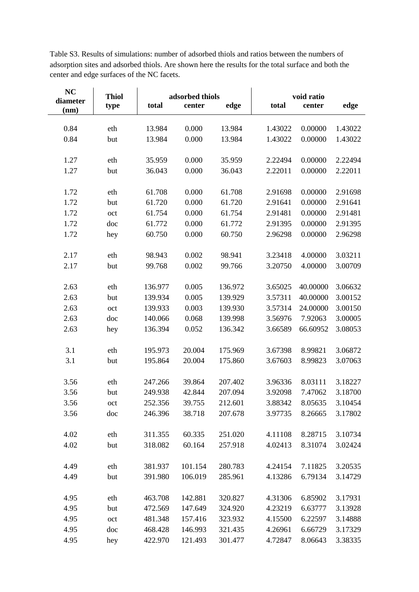Table S3. Results of simulations: number of adsorbed thiols and ratios between the numbers of adsorption sites and adsorbed thiols. Are shown here the results for the total surface and both the center and edge surfaces of the NC facets.

| NC<br>diameter | <b>Thiol</b><br>type |         | adsorbed thiols<br>total<br>center<br>edge |         | total   | void ratio<br>center | edge    |
|----------------|----------------------|---------|--------------------------------------------|---------|---------|----------------------|---------|
| (nm)           |                      |         |                                            |         |         |                      |         |
| 0.84           | eth                  | 13.984  | 0.000                                      | 13.984  | 1.43022 | 0.00000              | 1.43022 |
| 0.84           | but                  | 13.984  | 0.000                                      | 13.984  | 1.43022 | 0.00000              | 1.43022 |
|                |                      |         |                                            |         |         |                      |         |
| 1.27           | eth                  | 35.959  | 0.000                                      | 35.959  | 2.22494 | 0.00000              | 2.22494 |
| 1.27           | but                  | 36.043  | 0.000                                      | 36.043  | 2.22011 | 0.00000              | 2.22011 |
|                |                      |         |                                            |         |         |                      |         |
| 1.72           | eth                  | 61.708  | 0.000                                      | 61.708  | 2.91698 | 0.00000              | 2.91698 |
| 1.72           | but                  | 61.720  | 0.000                                      | 61.720  | 2.91641 | 0.00000              | 2.91641 |
| 1.72           | oct                  | 61.754  | 0.000                                      | 61.754  | 2.91481 | 0.00000              | 2.91481 |
| 1.72           | doc                  | 61.772  | 0.000                                      | 61.772  | 2.91395 | 0.00000              | 2.91395 |
| 1.72           | hey                  | 60.750  | 0.000                                      | 60.750  | 2.96298 | 0.00000              | 2.96298 |
|                |                      |         |                                            |         |         |                      |         |
| 2.17           | eth                  | 98.943  | 0.002                                      | 98.941  | 3.23418 | 4.00000              | 3.03211 |
| 2.17           | but                  | 99.768  | 0.002                                      | 99.766  | 3.20750 | 4.00000              | 3.00709 |
|                |                      |         |                                            |         |         |                      |         |
| 2.63           | eth                  | 136.977 | 0.005                                      | 136.972 | 3.65025 | 40.00000             | 3.06632 |
| 2.63           | but                  | 139.934 | 0.005                                      | 139.929 | 3.57311 | 40.00000             | 3.00152 |
| 2.63           | oct                  | 139.933 | 0.003                                      | 139.930 | 3.57314 | 24.00000             | 3.00150 |
| 2.63           | doc                  | 140.066 | 0.068                                      | 139.998 | 3.56976 | 7.92063              | 3.00005 |
| 2.63           | hey                  | 136.394 | 0.052                                      | 136.342 | 3.66589 | 66.60952             | 3.08053 |
|                |                      |         |                                            |         |         |                      |         |
| 3.1            | eth                  | 195.973 | 20.004                                     | 175.969 | 3.67398 | 8.99821              | 3.06872 |
| 3.1            | but                  | 195.864 | 20.004                                     | 175.860 | 3.67603 | 8.99823              | 3.07063 |
|                |                      |         |                                            |         |         |                      |         |
| 3.56           | eth                  | 247.266 | 39.864                                     | 207.402 | 3.96336 | 8.03111              | 3.18227 |
| 3.56           | but                  | 249.938 | 42.844                                     | 207.094 | 3.92098 | 7.47062              | 3.18700 |
| 3.56           | oct                  | 252.356 | 39.755                                     | 212.601 | 3.88342 | 8.05635              | 3.10454 |
| 3.56           | doc                  | 246.396 | 38.718                                     | 207.678 | 3.97735 | 8.26665              | 3.17802 |
|                |                      |         |                                            |         |         |                      |         |
| 4.02           | eth                  | 311.355 | 60.335                                     | 251.020 | 4.11108 | 8.28715              | 3.10734 |
| 4.02           | but                  | 318.082 | 60.164                                     | 257.918 | 4.02413 | 8.31074              | 3.02424 |
|                |                      |         |                                            |         |         |                      |         |
| 4.49           | eth                  | 381.937 | 101.154                                    | 280.783 | 4.24154 | 7.11825              | 3.20535 |
| 4.49           | but                  | 391.980 | 106.019                                    | 285.961 | 4.13286 | 6.79134              | 3.14729 |
|                |                      |         |                                            |         |         |                      |         |
| 4.95           | eth                  | 463.708 | 142.881                                    | 320.827 | 4.31306 | 6.85902              | 3.17931 |
| 4.95           | but                  | 472.569 | 147.649                                    | 324.920 | 4.23219 | 6.63777              | 3.13928 |
| 4.95           | oct                  | 481.348 | 157.416                                    | 323.932 | 4.15500 | 6.22597              | 3.14888 |
| 4.95           | doc                  | 468.428 | 146.993                                    | 321.435 | 4.26961 | 6.66729              | 3.17329 |
| 4.95           | hey                  | 422.970 | 121.493                                    | 301.477 | 4.72847 | 8.06643              | 3.38335 |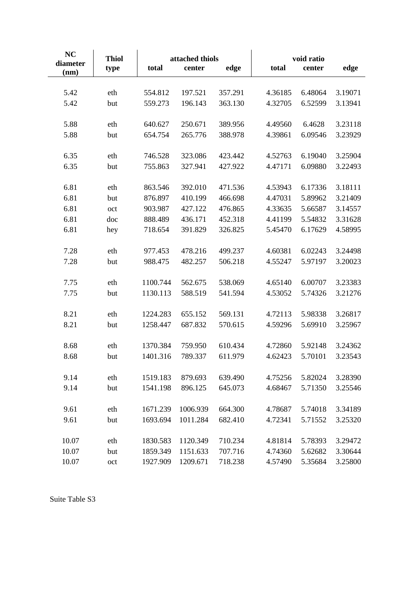| NC<br>diameter<br>(nm) | <b>Thiol</b><br>type | attached thiols<br>total<br>center<br>edge |          | total   | void ratio<br>center | edge    |         |
|------------------------|----------------------|--------------------------------------------|----------|---------|----------------------|---------|---------|
|                        |                      |                                            |          |         |                      |         |         |
| 5.42                   | eth                  | 554.812                                    | 197.521  | 357.291 | 4.36185              | 6.48064 | 3.19071 |
| 5.42                   | but                  | 559.273                                    | 196.143  | 363.130 | 4.32705              | 6.52599 | 3.13941 |
| 5.88                   | eth                  | 640.627                                    | 250.671  | 389.956 | 4.49560              | 6.4628  | 3.23118 |
| 5.88                   | but                  | 654.754                                    | 265.776  | 388.978 | 4.39861              | 6.09546 | 3.23929 |
| 6.35                   | eth                  | 746.528                                    | 323.086  | 423.442 | 4.52763              | 6.19040 | 3.25904 |
| 6.35                   | but                  | 755.863                                    | 327.941  | 427.922 | 4.47171              | 6.09880 | 3.22493 |
| 6.81                   | eth                  | 863.546                                    | 392.010  | 471.536 | 4.53943              | 6.17336 | 3.18111 |
| 6.81                   | but                  | 876.897                                    | 410.199  | 466.698 | 4.47031              | 5.89962 | 3.21409 |
| 6.81                   | oct                  | 903.987                                    | 427.122  | 476.865 | 4.33635              | 5.66587 | 3.14557 |
| 6.81                   | doc                  | 888.489                                    | 436.171  | 452.318 | 4.41199              | 5.54832 | 3.31628 |
| 6.81                   | hey                  | 718.654                                    | 391.829  | 326.825 | 5.45470              | 6.17629 | 4.58995 |
| 7.28                   | eth                  | 977.453                                    | 478.216  | 499.237 | 4.60381              | 6.02243 | 3.24498 |
| 7.28                   | but                  | 988.475                                    | 482.257  | 506.218 | 4.55247              | 5.97197 | 3.20023 |
| 7.75                   | eth                  | 1100.744                                   | 562.675  | 538.069 | 4.65140              | 6.00707 | 3.23383 |
| 7.75                   | but                  | 1130.113                                   | 588.519  | 541.594 | 4.53052              | 5.74326 | 3.21276 |
| 8.21                   | eth                  | 1224.283                                   | 655.152  | 569.131 | 4.72113              | 5.98338 | 3.26817 |
| 8.21                   | but                  | 1258.447                                   | 687.832  | 570.615 | 4.59296              | 5.69910 | 3.25967 |
| 8.68                   | eth                  | 1370.384                                   | 759.950  | 610.434 | 4.72860              | 5.92148 | 3.24362 |
| 8.68                   | but                  | 1401.316                                   | 789.337  | 611.979 | 4.62423              | 5.70101 | 3.23543 |
| 9.14                   | eth                  | 1519.183                                   | 879.693  | 639.490 | 4.75256              | 5.82024 | 3.28390 |
| 9.14                   | but                  | 1541.198                                   | 896.125  | 645.073 | 4.68467              | 5.71350 | 3.25546 |
| 9.61                   | eth                  | 1671.239                                   | 1006.939 | 664.300 | 4.78687              | 5.74018 | 3.34189 |
| 9.61                   | but                  | 1693.694                                   | 1011.284 | 682.410 | 4.72341              | 5.71552 | 3.25320 |
| 10.07                  | eth                  | 1830.583                                   | 1120.349 | 710.234 | 4.81814              | 5.78393 | 3.29472 |
| 10.07                  | but                  | 1859.349                                   | 1151.633 | 707.716 | 4.74360              | 5.62682 | 3.30644 |
| 10.07                  | oct                  | 1927.909                                   | 1209.671 | 718.238 | 4.57490              | 5.35684 | 3.25800 |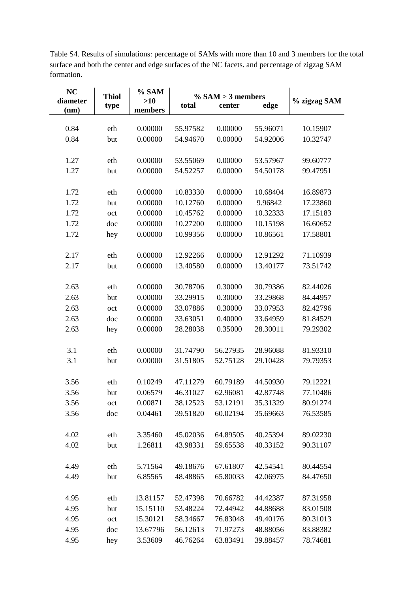**NC** % SAM **Thiol**  $\%$  SAM  $>$  3 members diameter % zigzag SAM  $>10$ center edge type total members  $(nm)$ 0.84 eth 0.00000 55.97582 0.00000 55.96071 10.15907 0.84 but 0.00000 54.94670 0.00000 54.92006 10.32747 1.27 eth 0.00000 53.55069 0.00000 53.57967 99.60777 1.27 but 0.00000 54.52257 0.00000 54.50178 99.47951 1.72 eth  $0.00000$ 10.83330 0.00000 10.68404 16.89873 1.72 but 0.00000 10.12760 0.00000 9.96842 17.23860 1.72  $\alpha$ ct 0.00000 10.45762 0.00000 10.32333 17.15183 1.72 doc 0.00000 10.27200 0.00000 10.15198 16.60652 1.72 hey 0.00000 10.99356 0.00000 10.86561 17.58801 2.17 eth 0.00000 12.92266 0.00000 12.91292 71.10939 2.17 but 0.00000 13.40580 0.00000 13.40177 73.51742 2.63 eth 0.00000 30.78706 0.30000 30.79386 82.44026 2.63 but 0.00000 33.29915 0.30000 33.29868 84.44957 2.63 oct 0.00000 33.07886 0.30000 33.07953 82.42796 2.63 doc 0.00000 33.63051 0.40000 33.64959 81.84529 2.63 hey 0.00000 28.28038 0.35000 28.30011 79.29302  $3.1$ eth 0.00000 31.74790 56.27935 28.96088 81.93310  $3.1$ but 0.00000 31.51805 52.75128 29.10428 79.79353 3.56 eth 0.10249 47.11279 60.79189 44.50930 79.12221 3.56 but 0.06579 46.31027 62.96081 42.87748 77.10486 3.56 oct 0.00871 38.12523 53.12191 35.31329 80.91274 3.56 doc 0.04461 39.51820 60.02194 35.69663 76.53585 4.02 eth 3.35460 45.02036 64.89505 40.25394 89.02230 4.02 but 1.26811 43.98331 59.65538 40.33152 90.31107 4.49 eth 5.71564 49.18676 67.61807 42.54541 80.44554 4.49 but 6.85565 48.48865 65.80033 42.06975 84.47650 4.95 eth 13.81157 52.47398 70.66782 44.42387 87.31958 4.95 but 15.15110 53.48224 72.44942 44.88688 83.01508 4.95 oct 15.30121 58.34667 76.83048 49.40176 80.31013 4.95 13.67796 71.97273 doc 56.12613 48.88056 83.88382

4.95

hey

3.53609

46.76264

63.83491

39.88457

78.74681

Table S4. Results of simulations: percentage of SAMs with more than 10 and 3 members for the total surface and both the center and edge surfaces of the NC facets, and percentage of zigzag SAM formation.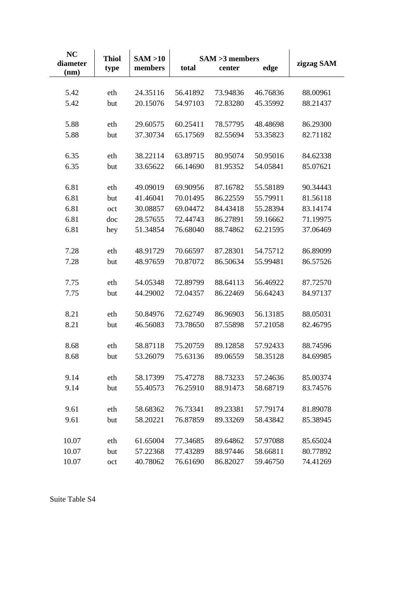| <b>NC</b>        | <b>Thiol</b> | SAM > 10<br>$SAM > 3$ members |          |          |          | zigzag SAM |  |
|------------------|--------------|-------------------------------|----------|----------|----------|------------|--|
| diameter<br>(nm) | type         | members                       | total    | center   | edge     |            |  |
|                  |              |                               |          |          |          |            |  |
| 5.42             | eth          | 24.35116                      | 56.41892 | 73.94836 | 46.76836 | 88.00961   |  |
| 5.42             | but          | 20.15076                      | 54.97103 | 72.83280 | 45.35992 | 88.21437   |  |
| 5.88             | eth          | 29.60575                      | 60.25411 | 78.57795 | 48.48698 | 86.29300   |  |
| 5.88             | but          | 37.30734                      | 65.17569 | 82.55694 | 53.35823 | 82.71182   |  |
| 6.35             | eth          | 38.22114                      | 63.89715 | 80.95074 | 50.95016 | 84.62338   |  |
| 6.35             | but          | 33.65622                      | 66.14690 | 81.95352 | 54.05841 | 85.07621   |  |
| 6.81             | eth          | 49.09019                      | 69.90956 | 87.16782 | 55.58189 | 90.34443   |  |
| 6.81             | but          | 41.46041                      | 70.01495 | 86.22559 | 55.79911 | 81.56118   |  |
| 6.81             | oct          | 30.08857                      | 69.04472 | 84.43418 | 55.28394 | 83.14174   |  |
| 6.81             | doc          | 28.57655                      | 72.44743 | 86.27891 | 59.16662 | 71.19975   |  |
| 6.81             | hey          | 51.34854                      | 76.68040 | 88.74862 | 62.21595 | 37.06469   |  |
|                  |              |                               |          |          |          |            |  |
| 7.28             | eth          | 48.91729                      | 70.66597 | 87.28301 | 54.75712 | 86.89099   |  |
| 7.28             | but          | 48.97659                      | 70.87072 | 86.50634 | 55.99481 | 86.57526   |  |
| 7.75             | eth          | 54.05348                      | 72.89799 | 88.64113 | 56.46922 | 87.72570   |  |
| 7.75             | but          | 44.29002                      | 72.04357 | 86.22469 | 56.64243 | 84.97137   |  |
| 8.21             | eth          | 50.84976                      | 72.62749 | 86.96903 | 56.13185 | 88.05031   |  |
| 8.21             | but          | 46.56083                      | 73.78650 | 87.55898 | 57.21058 | 82.46795   |  |
| 8.68             | eth          | 58.87118                      | 75.20759 | 89.12858 | 57.92433 | 88.74596   |  |
| 8.68             | but          | 53.26079                      | 75.63136 | 89.06559 | 58.35128 | 84.69985   |  |
| 9.14             | eth          | 58.17399                      | 75.47278 | 88.73233 | 57.24636 | 85.00374   |  |
| 9.14             | but          | 55.40573                      | 76.25910 | 88.91473 | 58.68719 | 83.74576   |  |
|                  |              |                               |          |          |          |            |  |
| 9.61             | eth          | 58.68362                      | 76.73341 | 89.23381 | 57.79174 | 81.89078   |  |
| 9.61             | but          | 58.20221                      | 76.87859 | 89.33269 | 58.43842 | 85.38945   |  |
| 10.07            | eth          | 61.65004                      | 77.34685 | 89.64862 | 57.97088 | 85.65024   |  |
| 10.07            | but          | 57.22368                      | 77.43289 | 88.97446 | 58.66811 | 80.77892   |  |
| 10.07            | oct          | 40.78062                      | 76.61690 | 86.82027 | 59.46750 | 74.41269   |  |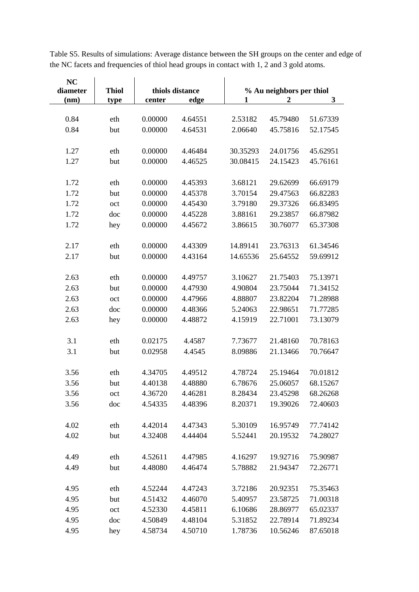| <b>NC</b> |              |         |                 |          |                          |          |  |  |
|-----------|--------------|---------|-----------------|----------|--------------------------|----------|--|--|
| diameter  | <b>Thiol</b> |         | thiols distance |          | % Au neighbors per thiol |          |  |  |
| (nm)      | type         | center  | edge            | 1        | $\boldsymbol{2}$         | 3        |  |  |
|           |              |         |                 |          |                          |          |  |  |
| 0.84      | eth          | 0.00000 | 4.64551         | 2.53182  | 45.79480                 | 51.67339 |  |  |
| 0.84      | but          | 0.00000 | 4.64531         | 2.06640  | 45.75816                 | 52.17545 |  |  |
|           |              |         |                 |          |                          |          |  |  |
| 1.27      | eth          | 0.00000 | 4.46484         | 30.35293 | 24.01756                 | 45.62951 |  |  |
| 1.27      | but          | 0.00000 | 4.46525         | 30.08415 | 24.15423                 | 45.76161 |  |  |
|           |              |         |                 |          |                          |          |  |  |
| 1.72      | eth          | 0.00000 | 4.45393         | 3.68121  | 29.62699                 | 66.69179 |  |  |
| 1.72      | but          | 0.00000 | 4.45378         | 3.70154  | 29.47563                 | 66.82283 |  |  |
| 1.72      | oct          | 0.00000 | 4.45430         | 3.79180  | 29.37326                 | 66.83495 |  |  |
| 1.72      | doc          | 0.00000 | 4.45228         | 3.88161  | 29.23857                 | 66.87982 |  |  |
| 1.72      | hey          | 0.00000 | 4.45672         | 3.86615  | 30.76077                 | 65.37308 |  |  |
|           |              |         |                 |          |                          |          |  |  |
| 2.17      | eth          | 0.00000 | 4.43309         | 14.89141 | 23.76313                 | 61.34546 |  |  |
| 2.17      | but          | 0.00000 | 4.43164         | 14.65536 | 25.64552                 | 59.69912 |  |  |
|           |              |         |                 |          |                          |          |  |  |
| 2.63      | eth          | 0.00000 | 4.49757         | 3.10627  | 21.75403                 | 75.13971 |  |  |
| 2.63      | but          | 0.00000 | 4.47930         | 4.90804  | 23.75044                 | 71.34152 |  |  |
| 2.63      | oct          | 0.00000 | 4.47966         | 4.88807  | 23.82204                 | 71.28988 |  |  |
| 2.63      | doc          | 0.00000 | 4.48366         | 5.24063  | 22.98651                 | 71.77285 |  |  |
| 2.63      |              | 0.00000 | 4.48872         | 4.15919  | 22.71001                 | 73.13079 |  |  |
|           | hey          |         |                 |          |                          |          |  |  |
| 3.1       | eth          | 0.02175 | 4.4587          | 7.73677  | 21.48160                 | 70.78163 |  |  |
| 3.1       | but          | 0.02958 | 4.4545          | 8.09886  | 21.13466                 | 70.76647 |  |  |
|           |              |         |                 |          |                          |          |  |  |
| 3.56      | eth          | 4.34705 | 4.49512         | 4.78724  | 25.19464                 | 70.01812 |  |  |
| 3.56      | but          | 4.40138 | 4.48880         | 6.78676  | 25.06057                 | 68.15267 |  |  |
| 3.56      | oct          | 4.36720 | 4.46281         | 8.28434  | 23.45298                 | 68.26268 |  |  |
|           |              |         | 4.48396         |          | 19.39026                 |          |  |  |
| 3.56      | doc          | 4.54335 |                 | 8.20371  |                          | 72.40603 |  |  |
| 4.02      | eth          | 4.42014 | 4.47343         | 5.30109  | 16.95749                 | 77.74142 |  |  |
| 4.02      | but          | 4.32408 | 4.44404         | 5.52441  | 20.19532                 | 74.28027 |  |  |
|           |              |         |                 |          |                          |          |  |  |
| 4.49      | eth          | 4.52611 | 4.47985         | 4.16297  | 19.92716                 | 75.90987 |  |  |
| 4.49      | but          | 4.48080 | 4.46474         | 5.78882  | 21.94347                 | 72.26771 |  |  |
|           |              |         |                 |          |                          |          |  |  |
| 4.95      | eth          | 4.52244 | 4.47243         | 3.72186  | 20.92351                 | 75.35463 |  |  |
| 4.95      | but          | 4.51432 | 4.46070         | 5.40957  | 23.58725                 | 71.00318 |  |  |
| 4.95      | oct          | 4.52330 | 4.45811         | 6.10686  | 28.86977                 | 65.02337 |  |  |
| 4.95      | doc          | 4.50849 | 4.48104         | 5.31852  | 22.78914                 | 71.89234 |  |  |
|           |              |         |                 | 1.78736  |                          |          |  |  |
| 4.95      | hey          | 4.58734 | 4.50710         |          | 10.56246                 | 87.65018 |  |  |

Table S5. Results of simulations: Average distance between the SH groups on the center and edge of the NC facets and frequencies of thiol head groups in contact with 1, 2 and 3 gold atoms.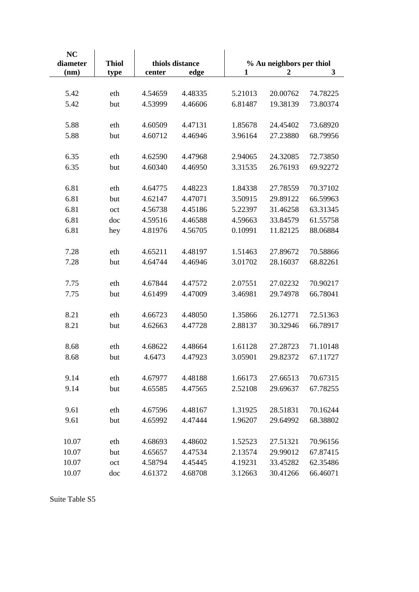| <b>NC</b><br>diameter | thiols distance<br><b>Thiol</b> |                    |         | % Au neighbors per thiol |                  |              |  |
|-----------------------|---------------------------------|--------------------|---------|--------------------------|------------------|--------------|--|
| (nm)                  | type                            | center             | edge    | $\mathbf{1}$             | $\boldsymbol{2}$ | $\mathbf{3}$ |  |
|                       |                                 |                    |         |                          |                  |              |  |
| 5.42                  | eth                             | 4.54659            | 4.48335 | 5.21013                  | 20.00762         | 74.78225     |  |
| 5.42                  | but                             | 4.53999            | 4.46606 | 6.81487                  | 19.38139         | 73.80374     |  |
|                       |                                 |                    |         |                          |                  |              |  |
| 5.88                  | eth                             | 4.60509            | 4.47131 | 1.85678                  | 24.45402         | 73.68920     |  |
| 5.88                  | but                             | 4.60712            | 4.46946 | 3.96164                  | 27.23880         | 68.79956     |  |
|                       |                                 |                    |         |                          |                  |              |  |
| 6.35                  | eth                             | 4.62590            | 4.47968 | 2.94065                  | 24.32085         | 72.73850     |  |
| 6.35                  | but                             | 4.60340            | 4.46950 | 3.31535                  | 26.76193         | 69.92272     |  |
|                       |                                 |                    |         |                          |                  |              |  |
| 6.81                  | eth                             | 4.64775            | 4.48223 | 1.84338                  | 27.78559         | 70.37102     |  |
| 6.81                  | but                             | 4.62147            | 4.47071 | 3.50915                  | 29.89122         | 66.59963     |  |
| 6.81                  | oct                             | 4.56738            | 4.45186 | 5.22397                  | 31.46258         | 63.31345     |  |
| 6.81                  | doc                             | 4.59516            | 4.46588 | 4.59663                  | 33.84579         | 61.55758     |  |
| 6.81                  | hey                             | 4.81976            | 4.56705 | 0.10991                  | 11.82125         | 88.06884     |  |
|                       |                                 |                    |         |                          |                  |              |  |
| 7.28                  | eth                             | 4.65211            | 4.48197 | 1.51463                  | 27.89672         | 70.58866     |  |
| 7.28                  | but                             | 4.64744            | 4.46946 | 3.01702                  | 28.16037         | 68.82261     |  |
|                       |                                 |                    |         |                          |                  |              |  |
| 7.75                  | eth                             | 4.67844            | 4.47572 | 2.07551                  | 27.02232         | 70.90217     |  |
| 7.75                  | but                             | 4.61499            | 4.47009 | 3.46981                  | 29.74978         | 66.78041     |  |
|                       |                                 |                    |         |                          |                  |              |  |
| 8.21                  | eth                             | 4.66723            | 4.48050 | 1.35866                  | 26.12771         | 72.51363     |  |
| 8.21                  | but                             | 4.62663            | 4.47728 | 2.88137                  | 30.32946         | 66.78917     |  |
|                       |                                 |                    |         |                          |                  |              |  |
| 8.68                  | eth                             | 4.68622            | 4.48664 | 1.61128                  | 27.28723         | 71.10148     |  |
| 8.68                  | but                             | 4.6473             | 4.47923 | 3.05901                  | 29.82372         | 67.11727     |  |
|                       |                                 |                    |         |                          |                  |              |  |
| 9.14                  | eth                             | 4.67977            | 4.48188 | 1.66173                  | 27.66513         | 70.67315     |  |
| 9.14                  | but                             | 4.65585            | 4.47565 | 2.52108                  | 29.69637         | 67.78255     |  |
| 9.61                  |                                 |                    | 4.48167 | 1.31925                  | 28.51831         | 70.16244     |  |
| 9.61                  | eth<br>but                      | 4.67596<br>4.65992 | 4.47444 | 1.96207                  | 29.64992         | 68.38802     |  |
|                       |                                 |                    |         |                          |                  |              |  |
| 10.07                 | eth                             | 4.68693            | 4.48602 | 1.52523                  | 27.51321         | 70.96156     |  |
| 10.07                 | but                             | 4.65657            | 4.47534 | 2.13574                  | 29.99012         | 67.87415     |  |
| 10.07                 | oct                             | 4.58794            | 4.45445 | 4.19231                  | 33.45282         | 62.35486     |  |
| 10.07                 | doc                             | 4.61372            | 4.68708 | 3.12663                  | 30.41266         | 66.46071     |  |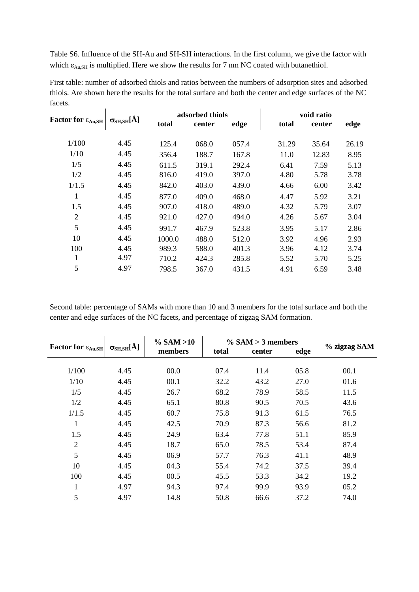Table S6. Influence of the SH-Au and SH-SH interactions. In the first column, we give the factor with which  $\varepsilon_{Au,SH}$  is multiplied. Here we show the results for 7 nm NC coated with butanethiol.

|                                  |                                     |        | adsorbed thiols |       |       | void ratio |       |  |
|----------------------------------|-------------------------------------|--------|-----------------|-------|-------|------------|-------|--|
| Factor for $\varepsilon_{Au,SH}$ | $\sigma_{\text{SH,SH}}[\text{\AA}]$ | total  | center          | edge  | total | center     | edge  |  |
|                                  |                                     |        |                 |       |       |            |       |  |
| 1/100                            | 4.45                                | 125.4  | 068.0           | 057.4 | 31.29 | 35.64      | 26.19 |  |
| 1/10                             | 4.45                                | 356.4  | 188.7           | 167.8 | 11.0  | 12.83      | 8.95  |  |
| 1/5                              | 4.45                                | 611.5  | 319.1           | 292.4 | 6.41  | 7.59       | 5.13  |  |
| 1/2                              | 4.45                                | 816.0  | 419.0           | 397.0 | 4.80  | 5.78       | 3.78  |  |
| 1/1.5                            | 4.45                                | 842.0  | 403.0           | 439.0 | 4.66  | 6.00       | 3.42  |  |
| 1                                | 4.45                                | 877.0  | 409.0           | 468.0 | 4.47  | 5.92       | 3.21  |  |
| 1.5                              | 4.45                                | 907.0  | 418.0           | 489.0 | 4.32  | 5.79       | 3.07  |  |
| $\overline{2}$                   | 4.45                                | 921.0  | 427.0           | 494.0 | 4.26  | 5.67       | 3.04  |  |
| 5                                | 4.45                                | 991.7  | 467.9           | 523.8 | 3.95  | 5.17       | 2.86  |  |
| 10                               | 4.45                                | 1000.0 | 488.0           | 512.0 | 3.92  | 4.96       | 2.93  |  |
| 100                              | 4.45                                | 989.3  | 588.0           | 401.3 | 3.96  | 4.12       | 3.74  |  |
| 1                                | 4.97                                | 710.2  | 424.3           | 285.8 | 5.52  | 5.70       | 5.25  |  |
| 5                                | 4.97                                | 798.5  | 367.0           | 431.5 | 4.91  | 6.59       | 3.48  |  |

First table: number of adsorbed thiols and ratios between the numbers of adsorption sites and adsorbed thiols. Are shown here the results for the total surface and both the center and edge surfaces of the NC facets.

Second table: percentage of SAMs with more than 10 and 3 members for the total surface and both the center and edge surfaces of the NC facets, and percentage of zigzag SAM formation.

|                                                    |                                     | $\%$ SAM $>10$ | $\%$ SAM $>$ 3 members | % zigzag SAM |      |      |
|----------------------------------------------------|-------------------------------------|----------------|------------------------|--------------|------|------|
| <b>Factor for <math>\varepsilon_{Au,SH}</math></b> | $\sigma_{\text{SH,SH}}[\text{\AA}]$ | members        | total                  | center       | edge |      |
|                                                    |                                     |                |                        |              |      |      |
| 1/100                                              | 4.45                                | 00.0           | 07.4                   | 11.4         | 05.8 | 00.1 |
| 1/10                                               | 4.45                                | 00.1           | 32.2                   | 43.2         | 27.0 | 01.6 |
| 1/5                                                | 4.45                                | 26.7           | 68.2                   | 78.9         | 58.5 | 11.5 |
| 1/2                                                | 4.45                                | 65.1           | 80.8                   | 90.5         | 70.5 | 43.6 |
| 1/1.5                                              | 4.45                                | 60.7           | 75.8                   | 91.3         | 61.5 | 76.5 |
| $\mathbf{1}$                                       | 4.45                                | 42.5           | 70.9                   | 87.3         | 56.6 | 81.2 |
| 1.5                                                | 4.45                                | 24.9           | 63.4                   | 77.8         | 51.1 | 85.9 |
| $\overline{2}$                                     | 4.45                                | 18.7           | 65.0                   | 78.5         | 53.4 | 87.4 |
| 5                                                  | 4.45                                | 06.9           | 57.7                   | 76.3         | 41.1 | 48.9 |
| 10                                                 | 4.45                                | 04.3           | 55.4                   | 74.2         | 37.5 | 39.4 |
| 100                                                | 4.45                                | 00.5           | 45.5                   | 53.3         | 34.2 | 19.2 |
| 1                                                  | 4.97                                | 94.3           | 97.4                   | 99.9         | 93.9 | 05.2 |
| 5                                                  | 4.97                                | 14.8           | 50.8                   | 66.6         | 37.2 | 74.0 |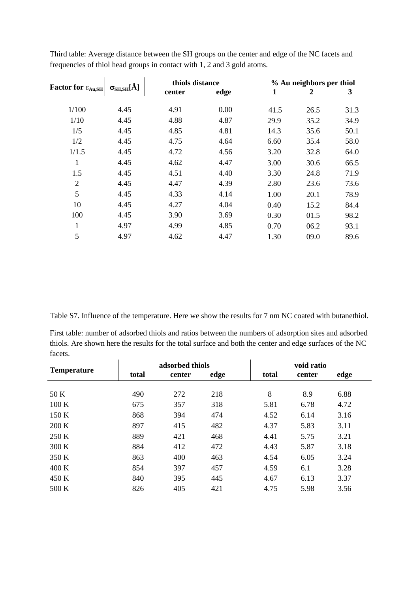|                                                    |                                     | thiols distance |      | % Au neighbors per thiol |      |      |  |
|----------------------------------------------------|-------------------------------------|-----------------|------|--------------------------|------|------|--|
| <b>Factor for <math>\varepsilon_{Au,SH}</math></b> | $\sigma_{\text{SH,SH}}[\text{\AA}]$ | center          | edge | 1                        | 2    | 3    |  |
| 1/100                                              | 4.45                                | 4.91            | 0.00 | 41.5                     | 26.5 | 31.3 |  |
| 1/10                                               | 4.45                                | 4.88            | 4.87 | 29.9                     | 35.2 | 34.9 |  |
| 1/5                                                | 4.45                                | 4.85            | 4.81 | 14.3                     | 35.6 | 50.1 |  |
| 1/2                                                | 4.45                                | 4.75            | 4.64 | 6.60                     | 35.4 | 58.0 |  |
| 1/1.5                                              | 4.45                                | 4.72            | 4.56 | 3.20                     | 32.8 | 64.0 |  |
| $\mathbf{1}$                                       | 4.45                                | 4.62            | 4.47 | 3.00                     | 30.6 | 66.5 |  |
| 1.5                                                | 4.45                                | 4.51            | 4.40 | 3.30                     | 24.8 | 71.9 |  |
| $\overline{2}$                                     | 4.45                                | 4.47            | 4.39 | 2.80                     | 23.6 | 73.6 |  |
| 5                                                  | 4.45                                | 4.33            | 4.14 | 1.00                     | 20.1 | 78.9 |  |
| 10                                                 | 4.45                                | 4.27            | 4.04 | 0.40                     | 15.2 | 84.4 |  |
| 100                                                | 4.45                                | 3.90            | 3.69 | 0.30                     | 01.5 | 98.2 |  |
| 1                                                  | 4.97                                | 4.99            | 4.85 | 0.70                     | 06.2 | 93.1 |  |
| 5                                                  | 4.97                                | 4.62            | 4.47 | 1.30                     | 09.0 | 89.6 |  |

Third table: Average distance between the SH groups on the center and edge of the NC facets and frequencies of thiol head groups in contact with 1, 2 and 3 gold atoms.

Table S7. Influence of the temperature. Here we show the results for 7 nm NC coated with butanethiol.

First table: number of adsorbed thiols and ratios between the numbers of adsorption sites and adsorbed thiols. Are shown here the results for the total surface and both the center and edge surfaces of the NC facets.

| <b>Temperature</b> | adsorbed thiols |        |      |       | void ratio |      |  |  |
|--------------------|-----------------|--------|------|-------|------------|------|--|--|
|                    | total           | center | edge | total | center     | edge |  |  |
|                    |                 |        |      |       |            |      |  |  |
| 50 K               | 490             | 272    | 218  | 8     | 8.9        | 6.88 |  |  |
| 100K               | 675             | 357    | 318  | 5.81  | 6.78       | 4.72 |  |  |
| 150K               | 868             | 394    | 474  | 4.52  | 6.14       | 3.16 |  |  |
| 200 K              | 897             | 415    | 482  | 4.37  | 5.83       | 3.11 |  |  |
| 250 K              | 889             | 421    | 468  | 4.41  | 5.75       | 3.21 |  |  |
| 300 K              | 884             | 412    | 472  | 4.43  | 5.87       | 3.18 |  |  |
| 350 K              | 863             | 400    | 463  | 4.54  | 6.05       | 3.24 |  |  |
| 400K               | 854             | 397    | 457  | 4.59  | 6.1        | 3.28 |  |  |
| 450 K              | 840             | 395    | 445  | 4.67  | 6.13       | 3.37 |  |  |
| 500 K              | 826             | 405    | 421  | 4.75  | 5.98       | 3.56 |  |  |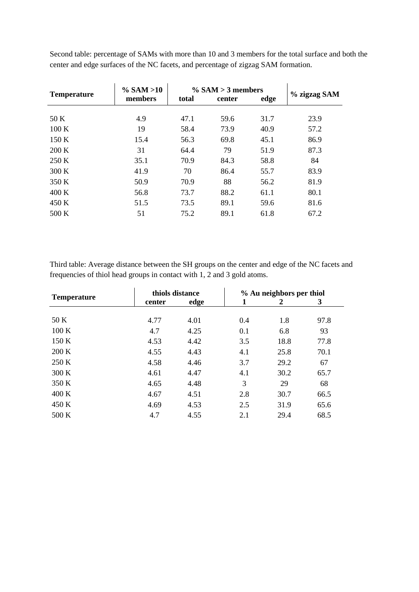| <b>Temperature</b> | $\%$ SAM $>10$ |       | $\%$ SAM $>$ 3 members | % zigzag SAM |      |
|--------------------|----------------|-------|------------------------|--------------|------|
|                    | members        | total | center                 | edge         |      |
|                    |                |       |                        |              |      |
| 50 K               | 4.9            | 47.1  | 59.6                   | 31.7         | 23.9 |
| 100K               | 19             | 58.4  | 73.9                   | 40.9         | 57.2 |
| 150K               | 15.4           | 56.3  | 69.8                   | 45.1         | 86.9 |
| 200 K              | 31             | 64.4  | 79                     | 51.9         | 87.3 |
| 250 K              | 35.1           | 70.9  | 84.3                   | 58.8         | 84   |
| 300K               | 41.9           | 70    | 86.4                   | 55.7         | 83.9 |
| 350 K              | 50.9           | 70.9  | 88                     | 56.2         | 81.9 |
| 400K               | 56.8           | 73.7  | 88.2                   | 61.1         | 80.1 |
| 450 K              | 51.5           | 73.5  | 89.1                   | 59.6         | 81.6 |
| 500 K              | 51             | 75.2  | 89.1                   | 61.8         | 67.2 |

Second table: percentage of SAMs with more than 10 and 3 members for the total surface and both the center and edge surfaces of the NC facets, and percentage of zigzag SAM formation.

Third table: Average distance between the SH groups on the center and edge of the NC facets and frequencies of thiol head groups in contact with 1, 2 and 3 gold atoms.

|                    | thiols distance |      |     | % Au neighbors per thiol |      |  |
|--------------------|-----------------|------|-----|--------------------------|------|--|
| <b>Temperature</b> | center          | edge | 1   | 2                        | 3    |  |
|                    |                 |      |     |                          |      |  |
| 50 K               | 4.77            | 4.01 | 0.4 | 1.8                      | 97.8 |  |
| 100K               | 4.7             | 4.25 | 0.1 | 6.8                      | 93   |  |
| 150 K              | 4.53            | 4.42 | 3.5 | 18.8                     | 77.8 |  |
| 200 K              | 4.55            | 4.43 | 4.1 | 25.8                     | 70.1 |  |
| 250 K              | 4.58            | 4.46 | 3.7 | 29.2                     | 67   |  |
| 300 K              | 4.61            | 4.47 | 4.1 | 30.2                     | 65.7 |  |
| 350 K              | 4.65            | 4.48 | 3   | 29                       | 68   |  |
| 400 K              | 4.67            | 4.51 | 2.8 | 30.7                     | 66.5 |  |
| 450 K              | 4.69            | 4.53 | 2.5 | 31.9                     | 65.6 |  |
| 500 K              | 4.7             | 4.55 | 2.1 | 29.4                     | 68.5 |  |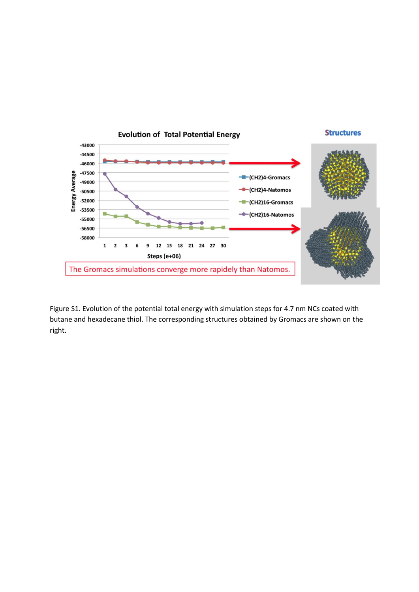

Figure S1. Evolution of the potential total energy with simulation steps for 4.7 nm NCs coated with butane and hexadecane thiol. The corresponding structures obtained by Gromacs are shown on the right.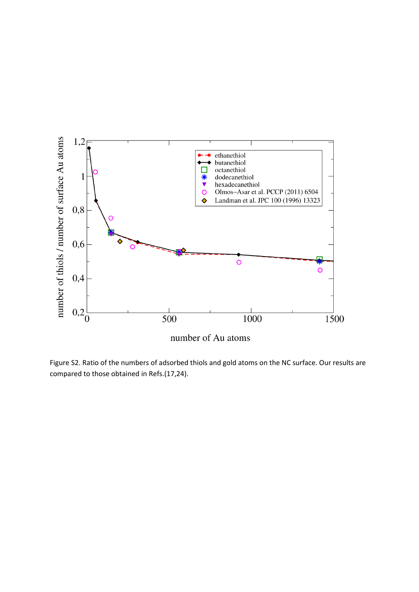

Figure S2. Ratio of the numbers of adsorbed thiols and gold atoms on the NC surface. Our results are compared to those obtained in Refs.(17,24).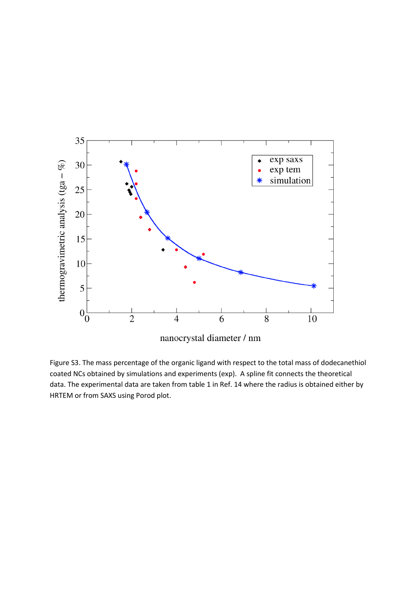

Figure S3. The mass percentage of the organic ligand with respect to the total mass of dodecanethiol coated NCs obtained by simulations and experiments (exp). A spline fit connects the theoretical data. The experimental data are taken from table 1 in Ref. 14 where the radius is obtained either by HRTEM or from SAXS using Porod plot.